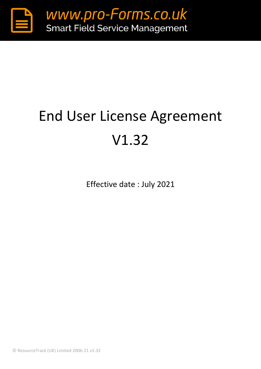

# End User License Agreement V1.32

Effective date : July 2021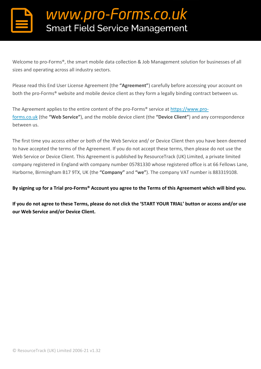Welcome to pro-Forms®, the smart mobile data collection & Job Management solution for businesses of all sizes and operating across all industry sectors.

Please read this End User License Agreement (the **"Agreement"**) carefully before accessing your account on both the pro-Forms<sup>®</sup> website and mobile device client as they form a legally binding contract between us.

The Agreement applies to the entire content of the pro-Forms® service at https://www.proforms.co.uk (the **"Web Service"**), and the mobile device client (the **"Device Client"**) and any correspondence between us.

The first time you access either or both of the Web Service and/ or Device Client then you have been deemed to have accepted the terms of the Agreement. If you do not accept these terms, then please do not use the Web Service or Device Client. This Agreement is published by ResourceTrack (UK) Limited, a private limited company registered in England with company number 05781330 whose registered office is at 66 Fellows Lane, Harborne, Birmingham B17 9TX, UK (the **"Company"** and **"we"**). The company VAT number is 883319108.

#### **By signing up for a Trial pro-Forms® Account you agree to the Terms of this Agreement which will bind you.**

**If you do not agree to these Terms, please do not click the 'START YOUR TRIAL' button or access and/or use our Web Service and/or Device Client.**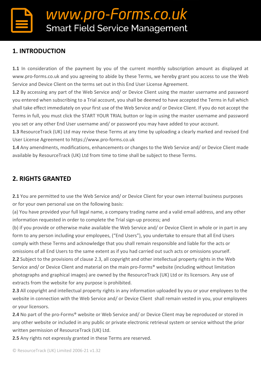### **1. INTRODUCTION**

**1.1** In consideration of the payment by you of the current monthly subscription amount as displayed at www.pro-forms.co.uk and you agreeing to abide by these Terms, we hereby grant you access to use the Web Service and Device Client on the terms set out in this End User License Agreement.

**1.2** By accessing any part of the Web Service and/ or Device Client using the master username and password you entered when subscribing to a Trial account, you shall be deemed to have accepted the Terms in full which shall take effect immediately on your first use of the Web Service and/ or Device Client. If you do not accept the Terms in full, you must click the START YOUR TRIAL button or log-in using the master username and password you set or any other End User username and/ or password you may have added to your account.

**1.3** ResourceTrack (UK) Ltd may revise these Terms at any time by uploading a clearly marked and revised End User License Agreement to https://www.pro-forms.co.uk

**1.4** Any amendments, modifications, enhancements or changes to the Web Service and/ or Device Client made available by ResourceTrack (UK) Ltd from time to time shall be subject to these Terms.

### **2. RIGHTS GRANTED**

2.1 You are permitted to use the Web Service and/ or Device Client for your own internal business purposes or for your own personal use on the following basis:

(a) You have provided your full legal name, a company trading name and a valid email address, and any other information requested in order to complete the Trial sign-up process; and

(b) if you provide or otherwise make available the Web Service and/ or Device Client in whole or in part in any form to any person including your employees, ("End Users"), you undertake to ensure that all End Users comply with these Terms and acknowledge that you shall remain responsible and liable for the acts or omissions of all End Users to the same extent as if you had carried out such acts or omissions yourself.

**2.2** Subject to the provisions of clause 2.3, all copyright and other intellectual property rights in the Web Service and/ or Device Client and material on the main pro-Forms® website (including without limitation photographs and graphical images) are owned by the ResourceTrack (UK) Ltd or its licensors. Any use of extracts from the website for any purpose is prohibited.

**2.3** All copyright and intellectual property rights in any information uploaded by you or your employees to the website in connection with the Web Service and/ or Device Client shall remain vested in you, your employees or your licensors.

**2.4** No part of the pro-Forms® website or Web Service and/ or Device Client may be reproduced or stored in any other website or included in any public or private electronic retrieval system or service without the prior written permission of ResourceTrack (UK) Ltd.

**2.5** Any rights not expressly granted in these Terms are reserved.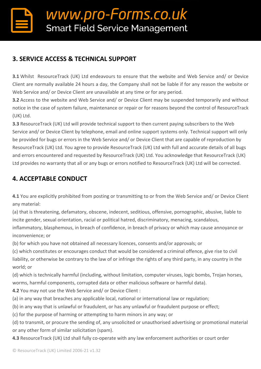### **3. SERVICE ACCESS & TECHNICAL SUPPORT**

**3.1** Whilst ResourceTrack (UK) Ltd endeavours to ensure that the website and Web Service and/ or Device Client are normally available 24 hours a day, the Company shall not be liable if for any reason the website or Web Service and/ or Device Client are unavailable at any time or for any period.

**3.2** Access to the website and Web Service and/ or Device Client may be suspended temporarily and without notice in the case of system failure, maintenance or repair or for reasons beyond the control of ResourceTrack (UK) Ltd.

**3.3** ResourceTrack (UK) Ltd will provide technical support to then current paying subscribers to the Web Service and/ or Device Client by telephone, email and online support systems only. Technical support will only be provided for bugs or errors in the Web Service and/ or Device Client that are capable of reproduction by ResourceTrack (UK) Ltd. You agree to provide ResourceTrack (UK) Ltd with full and accurate details of all bugs and errors encountered and requested by ResourceTrack (UK) Ltd. You acknowledge that ResourceTrack (UK) Ltd provides no warranty that all or any bugs or errors notified to ResourceTrack (UK) Ltd will be corrected.

### **4. ACCEPTABLE CONDUCT**

**4.1** You are explicitly prohibited from posting or transmitting to or from the Web Service and/ or Device Client any material:

(a) that is threatening, defamatory, obscene, indecent, seditious, offensive, pornographic, abusive, liable to incite gender, sexual orientation, racial or political hatred, discriminatory, menacing, scandalous, inflammatory, blasphemous, in breach of confidence, in breach of privacy or which may cause annoyance or inconvenience; or

(b) for which you have not obtained all necessary licences, consents and/or approvals; or

(c) which constitutes or encourages conduct that would be considered a criminal offence, give rise to civil liability, or otherwise be contrary to the law of or infringe the rights of any third party, in any country in the world; or

(d) which is technically harmful (including, without limitation, computer viruses, logic bombs, Trojan horses, worms, harmful components, corrupted data or other malicious software or harmful data).

**4.2** You may not use the Web Service and/ or Device Client :

- (a) in any way that breaches any applicable local, national or international law or regulation;
- (b) in any way that is unlawful or fraudulent, or has any unlawful or fraudulent purpose or effect;

(c) for the purpose of harming or attempting to harm minors in any way; or

(d) to transmit, or procure the sending of, any unsolicited or unauthorised advertising or promotional material or any other form of similar solicitation (spam).

**4.3** ResourceTrack (UK) Ltd shall fully co-operate with any law enforcement authorities or court order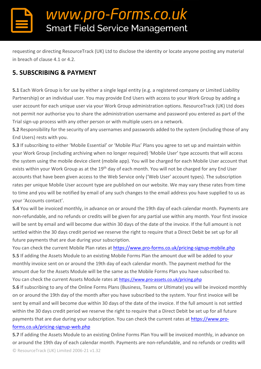requesting or directing ResourceTrack (UK) Ltd to disclose the identity or locate anyone posting any material in breach of clause 4.1 or 4.2.

### **5. SUBSCRIBING & PAYMENT**

**5.1** Each Work Group is for use by either a single legal entity (e.g. a registered company or Limited Liability Partnership) or an individual user. You may provide End Users with access to your Work Group by adding a user account for each unique user via your Work Group administration options. ResourceTrack (UK) Ltd does not permit nor authorise you to share the administration username and password you entered as part of the Trial sign-up process with any other person or with multiple users on a network.

**5.2** Responsibility for the security of any usernames and passwords added to the system (including those of any End Users) rests with you.

**5.3** If subscribing to either 'Mobile Essential' or 'Mobile Plus' Plans you agree to set up and maintain within your Work Group (including archiving when no longer required) 'Mobile User' type accounts that will access the system using the mobile device client (mobile app). You will be charged for each Mobile User account that exists within your Work Group as at the 19<sup>th</sup> day of each month. You will not be charged for any End User accounts that have been given access to the Web Service only ('Web User' account types). The subscription rates per unique Mobile User account type are published on our website. We may vary these rates from time to time and you will be notified by email of any such changes to the email address you have supplied to us as your 'Accounts contact'.

**5.4** You will be invoiced monthly, in advance on or around the 19th day of each calendar month. Payments are non-refundable, and no refunds or credits will be given for any partial use within any month. Your first invoice will be sent by email and will become due within 30 days of the date of the invoice. If the full amount is not settled within the 30 days credit period we reserve the right to require that a Direct Debit be set up for all future payments that are due during your subscription.

You can check the current Mobile Plan rates at <https://www.pro-forms.co.uk/pricing-signup-mobile.php> **5.5** If adding the Assets Module to an existing Mobile Forms Plan the amount due will be added to your monthly invoice sent on or around the 19th day of each calendar month. The payment method for the amount due for the Assets Module will be the same as the Mobile Forms Plan you have subscribed to. You can check the current Assets Module rates at <https://www.pro-assets.co.uk/pricing.php>

**5.6** If subscribing to any of the Online Forms Plans (Business, Teams or Ultimate) you will be invoiced monthly on or around the 19th day of the month after you have subscribed to the system. Your first invoice will be sent by email and will become due within 30 days of the date of the invoice. If the full amount is not settled within the 30 days credit period we reserve the right to require that a Direct Debit be set up for all future payments that are due during your subscription. You can check the current rates at [https://www.pro](https://www.pro-forms.co.uk/pricing-signup-web.php)[forms.co.uk/pricing-signup-web.php](https://www.pro-forms.co.uk/pricing-signup-web.php)

© ResourceTrack (UK) Limited 2006-21 v1.32 **5.7** If adding the Assets Module to an existing Online Forms Plan You will be invoiced monthly, in advance on or around the 19th day of each calendar month. Payments are non-refundable, and no refunds or credits will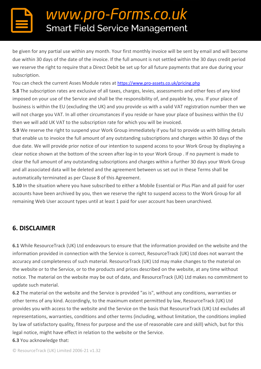be given for any partial use within any month. Your first monthly invoice will be sent by email and will become due within 30 days of the date of the invoice. If the full amount is not settled within the 30 days credit period we reserve the right to require that a Direct Debit be set up for all future payments that are due during your subscription.

You can check the current Asses Module rates at <https://www.pro-assets.co.uk/pricing.php>

**5.8** The subscription rates are exclusive of all taxes, charges, levies, assessments and other fees of any kind imposed on your use of the Service and shall be the responsibility of, and payable by, you. If your place of business is within the EU (excluding the UK) and you provide us with a valid VAT registration number then we will not charge you VAT. In all other circumstances if you reside or have your place of business within the EU then we will add UK VAT to the subscription rate for which you will be invoiced.

**5.9** We reserve the right to suspend your Work Group immediately if you fail to provide us with billing details that enable us to invoice the full amount of any outstanding subscriptions and charges within 30 days of the due date. We will provide prior notice of our intention to suspend access to your Work Group by displaying a clear notice shown at the bottom of the screen after log-in to your Work Group . If no payment is made to clear the full amount of any outstanding subscriptions and charges within a further 30 days your Work Group and all associated data will be deleted and the agreement between us set out in these Terms shall be automatically terminated as per Clause 8 of this Agreement.

**5.10** In the situation where you have subscribed to either a Mobile Essential or Plus Plan and all paid for user accounts have been archived by you, then we reserve the right to suspend access to the Work Group for all remaining Web User account types until at least 1 paid for user account has been unarchived.

### **6. DISCLAIMER**

**6.1** While ResourceTrack (UK) Ltd endeavours to ensure that the information provided on the website and the information provided in connection with the Service is correct, ResourceTrack (UK) Ltd does not warrant the accuracy and completeness of such material. ResourceTrack (UK) Ltd may make changes to the material on the website or to the Service, or to the products and prices described on the website, at any time without notice. The material on the website may be out of date, and ResourceTrack (UK) Ltd makes no commitment to update such material.

**6.2** The material on the website and the Service is provided "as is", without any conditions, warranties or other terms of any kind. Accordingly, to the maximum extent permitted by law, ResourceTrack (UK) Ltd provides you with access to the website and the Service on the basis that ResourceTrack (UK) Ltd excludes all representations, warranties, conditions and other terms (including, without limitation, the conditions implied by law of satisfactory quality, fitness for purpose and the use of reasonable care and skill) which, but for this legal notice, might have effect in relation to the website or the Service.

**6.3** You acknowledge that: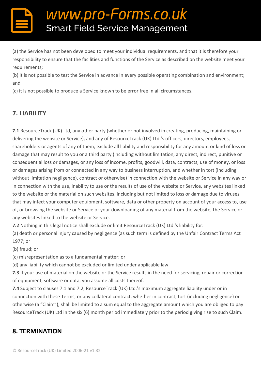(a) the Service has not been developed to meet your individual requirements, and that it is therefore your responsibility to ensure that the facilities and functions of the Service as described on the website meet your requirements;

(b) it is not possible to test the Service in advance in every possible operating combination and environment; and

(c) it is not possible to produce a Service known to be error free in all circumstances.

### **7. LIABILITY**

**7.1** ResourceTrack (UK) Ltd, any other party (whether or not involved in creating, producing, maintaining or delivering the website or Service), and any of ResourceTrack (UK) Ltd.'s officers, directors, employees, shareholders or agents of any of them, exclude all liability and responsibility for any amount or kind of loss or damage that may result to you or a third party (including without limitation, any direct, indirect, punitive or consequential loss or damages, or any loss of income, profits, goodwill, data, contracts, use of money, or loss or damages arising from or connected in any way to business interruption, and whether in tort (including without limitation negligence), contract or otherwise) in connection with the website or Service in any way or in connection with the use, inability to use or the results of use of the website or Service, any websites linked to the website or the material on such websites, including but not limited to loss or damage due to viruses that may infect your computer equipment, software, data or other property on account of your access to, use of, or browsing the website or Service or your downloading of any material from the website, the Service or any websites linked to the website or Service.

**7.2** Nothing in this legal notice shall exclude or limit ResourceTrack (UK) Ltd.'s liability for:

(a) death or personal injury caused by negligence (as such term is defined by the Unfair Contract Terms Act 1977; or

(b) fraud; or

(c) misrepresentation as to a fundamental matter; or

(d) any liability which cannot be excluded or limited under applicable law.

**7.3** If your use of material on the website or the Service results in the need for servicing, repair or correction of equipment, software or data, you assume all costs thereof.

**7.4** Subject to clauses 7.1 and 7.2, ResourceTrack (UK) Ltd.'s maximum aggregate liability under or in connection with these Terms, or any collateral contract, whether in contract, tort (including negligence) or otherwise (a "Claim"), shall be limited to a sum equal to the aggregate amount which you are obliged to pay ResourceTrack (UK) Ltd in the six (6) month period immediately prior to the period giving rise to such Claim.

### **8. TERMINATION**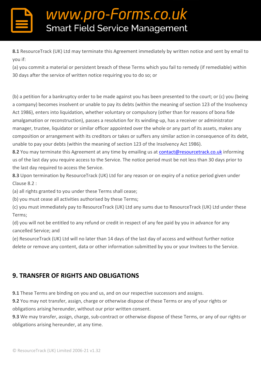**8.1** ResourceTrack (UK) Ltd may terminate this Agreement immediately by written notice and sent by email to you if:

(a) you commit a material or persistent breach of these Terms which you fail to remedy (if remediable) within 30 days after the service of written notice requiring you to do so; or

(b) a petition for a bankruptcy order to be made against you has been presented to the court; or (c) you (being a company) becomes insolvent or unable to pay its debts (within the meaning of section 123 of the Insolvency Act 1986), enters into liquidation, whether voluntary or compulsory (other than for reasons of bona fide amalgamation or reconstruction), passes a resolution for its winding-up, has a receiver or administrator manager, trustee, liquidator or similar officer appointed over the whole or any part of its assets, makes any composition or arrangement with its creditors or takes or suffers any similar action in consequence of its debt, unable to pay your debts (within the meaning of section 123 of the Insolvency Act 1986).

8.2 You may terminate this Agreement at any time by emailing us at [contact@resourcetrack.co.uk](mailto:contact@resourcetrack.co.uk) informing us of the last day you require access to the Service. The notice period must be not less than 30 days prior to the last day required to access the Service.

**8.3** Upon termination by ResourceTrack (UK) Ltd for any reason or on expiry of a notice period given under Clause 8.2 :

(a) all rights granted to you under these Terms shall cease;

(b) you must cease all activities authorised by these Terms;

(c) you must immediately pay to ResourceTrack (UK) Ltd any sums due to ResourceTrack (UK) Ltd under these Terms;

(d) you will not be entitled to any refund or credit in respect of any fee paid by you in advance for any cancelled Service; and

(e) ResourceTrack (UK) Ltd will no later than 14 days of the last day of access and without further notice delete or remove any content, data or other information submitted by you or your Invitees to the Service.

### **9. TRANSFER OF RIGHTS AND OBLIGATIONS**

**9.1** These Terms are binding on you and us, and on our respective successors and assigns.

**9.2** You may not transfer, assign, charge or otherwise dispose of these Terms or any of your rights or obligations arising hereunder, without our prior written consent.

**9.3** We may transfer, assign, charge, sub-contract or otherwise dispose of these Terms, or any of our rights or obligations arising hereunder, at any time.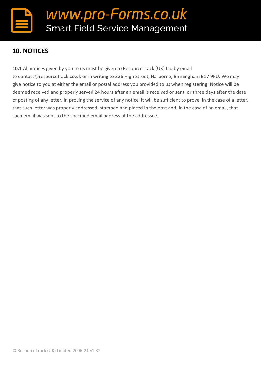### **10. NOTICES**

**10.1** All notices given by you to us must be given to ResourceTrack (UK) Ltd by email to contact@resourcetrack.co.uk or in writing to 326 High Street, Harborne, Birmingham B17 9PU. We may give notice to you at either the email or postal address you provided to us when registering. Notice will be deemed received and properly served 24 hours after an email is received or sent, or three days after the date of posting of any letter. In proving the service of any notice, it will be sufficient to prove, in the case of a letter, that such letter was properly addressed, stamped and placed in the post and, in the case of an email, that such email was sent to the specified email address of the addressee.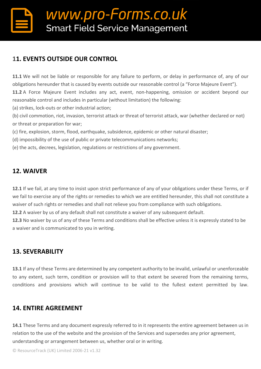### **11. EVENTS OUTSIDE OUR CONTROL**

**11.1** We will not be liable or responsible for any failure to perform, or delay in performance of, any of our obligations hereunder that is caused by events outside our reasonable control (a "Force Majeure Event"). **11.2** A Force Majeure Event includes any act, event, non-happening, omission or accident beyond our reasonable control and includes in particular (without limitation) the following:

(a) strikes, lock-outs or other industrial action;

(b) civil commotion, riot, invasion, terrorist attack or threat of terrorist attack, war (whether declared or not) or threat or preparation for war;

(c) fire, explosion, storm, flood, earthquake, subsidence, epidemic or other natural disaster;

(d) impossibility of the use of public or private telecommunications networks;

(e) the acts, decrees, legislation, regulations or restrictions of any government.

#### **12. WAIVER**

**12.1** If we fail, at any time to insist upon strict performance of any of your obligations under these Terms, or if we fail to exercise any of the rights or remedies to which we are entitled hereunder, this shall not constitute a waiver of such rights or remedies and shall not relieve you from compliance with such obligations.

**12.2** A waiver by us of any default shall not constitute a waiver of any subsequent default.

**12.3** No waiver by us of any of these Terms and conditions shall be effective unless it is expressly stated to be a waiver and is communicated to you in writing.

### **13. SEVERABILITY**

**13.1** If any of these Terms are determined by any competent authority to be invalid, unlawful or unenforceable to any extent, such term, condition or provision will to that extent be severed from the remaining terms, conditions and provisions which will continue to be valid to the fullest extent permitted by law.

### **14. ENTIRE AGREEMENT**

**14.1** These Terms and any document expressly referred to in it represents the entire agreement between us in relation to the use of the website and the provision of the Services and supersedes any prior agreement, understanding or arrangement between us, whether oral or in writing.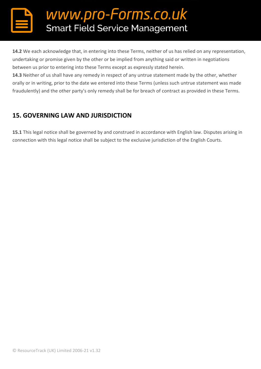**14.2** We each acknowledge that, in entering into these Terms, neither of us has relied on any representation, undertaking or promise given by the other or be implied from anything said or written in negotiations between us prior to entering into these Terms except as expressly stated herein.

**14.3** Neither of us shall have any remedy in respect of any untrue statement made by the other, whether orally or in writing, prior to the date we entered into these Terms (unless such untrue statement was made fraudulently) and the other party's only remedy shall be for breach of contract as provided in these Terms.

### **15. GOVERNING LAW AND JURISDICTION**

**15.1** This legal notice shall be governed by and construed in accordance with English law. Disputes arising in connection with this legal notice shall be subject to the exclusive jurisdiction of the English Courts.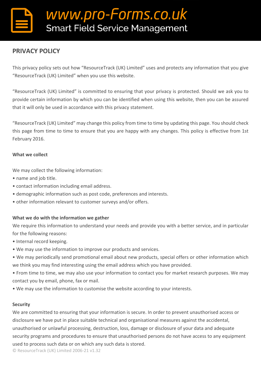### **PRIVACY POLICY**

This privacy policy sets out how "ResourceTrack (UK) Limited" uses and protects any information that you give "ResourceTrack (UK) Limited" when you use this website.

"ResourceTrack (UK) Limited" is committed to ensuring that your privacy is protected. Should we ask you to provide certain information by which you can be identified when using this website, then you can be assured that it will only be used in accordance with this privacy statement.

"ResourceTrack (UK) Limited" may change this policy from time to time by updating this page. You should check this page from time to time to ensure that you are happy with any changes. This policy is effective from 1st February 2016.

#### **What we collect**

We may collect the following information:

- name and job title.
- contact information including email address.
- demographic information such as post code, preferences and interests.
- other information relevant to customer surveys and/or offers.

#### **What we do with the information we gather**

We require this information to understand your needs and provide you with a better service, and in particular for the following reasons:

- Internal record keeping.
- We may use the information to improve our products and services.
- We may periodically send promotional email about new products, special offers or other information which we think you may find interesting using the email address which you have provided.
- From time to time, we may also use your information to contact you for market research purposes. We may contact you by email, phone, fax or mail.
- We may use the information to customise the website according to your interests.

#### **Security**

We are committed to ensuring that your information is secure. In order to prevent unauthorised access or disclosure we have put in place suitable technical and organisational measures against the accidental, unauthorised or unlawful processing, destruction, loss, damage or disclosure of your data and adequate security programs and procedures to ensure that unauthorised persons do not have access to any equipment used to process such data or on which any such data is stored.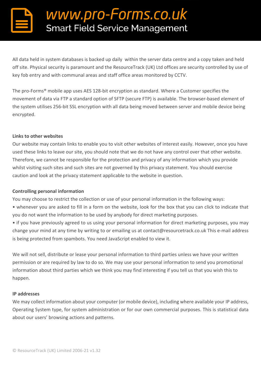All data held in system databases is backed up daily within the server data centre and a copy taken and held off site. Physical security is paramount and the ResourceTrack (UK) Ltd offices are security controlled by use of key fob entry and with communal areas and staff office areas monitored by CCTV.

The pro-Forms® mobile app uses AES 128-bit encryption as standard. Where a Customer specifies the movement of data via FTP a standard option of SFTP (secure FTP) is available. The browser-based element of the system utilises 256-bit SSL encryption with all data being moved between server and mobile device being encrypted.

#### **Links to other websites**

Our website may contain links to enable you to visit other websites of interest easily. However, once you have used these links to leave our site, you should note that we do not have any control over that other website. Therefore, we cannot be responsible for the protection and privacy of any information which you provide whilst visiting such sites and such sites are not governed by this privacy statement. You should exercise caution and look at the privacy statement applicable to the website in question.

#### **Controlling personal information**

You may choose to restrict the collection or use of your personal information in the following ways:

• whenever you are asked to fill in a form on the website, look for the box that you can click to indicate that you do not want the information to be used by anybody for direct marketing purposes.

• if you have previously agreed to us using your personal information for direct marketing purposes, you may change your mind at any time by writing to or emailing us at contact@resourcetrack.co.uk This e-mail address is being protected from spambots. You need JavaScript enabled to view it.

We will not sell, distribute or lease your personal information to third parties unless we have your written permission or are required by law to do so. We may use your personal information to send you promotional information about third parties which we think you may find interesting if you tell us that you wish this to happen.

#### **IP addresses**

We may collect information about your computer (or mobile device), including where available your IP address, Operating System type, for system administration or for our own commercial purposes. This is statistical data about our users' browsing actions and patterns.